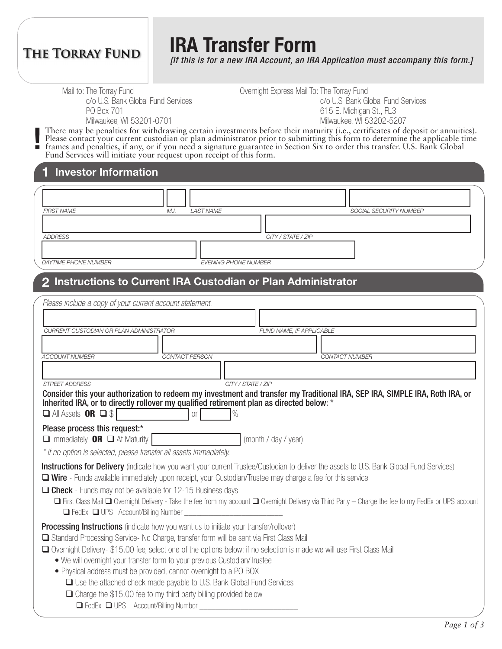# **THE TORRAY FUND**

**!**

# **IRA Transfer Form**

*[If this is for a new IRA Account, an IRA Application must accompany this form.]*

Mail to: The Torray Fund

c/o U.S. Bank Global Fund Services PO Box 701 Milwaukee, WI 53201-0701

Overnight Express Mail To: The Torray Fund c/o U.S. Bank Global Fund Services 615 E. Michigan St., FL3 Milwaukee, WI 53202-5207

There may be penalties for withdrawing certain investments before their maturity (i.e., certificates of deposit or annuities). Please contact your current custodian or plan administrator prior to submitting this form to determine the applicable time frames and penalties, if any, or if you need a signature guarantee in Section Six to order this transfer. U.S. Bank Global Fund Services will initiate your request upon receipt of this form.

#### **1 Investor Information**

| FIRST NAME           | LAST NAME<br>M.I.           | SOCIAL SECURITY NUMBER |
|----------------------|-----------------------------|------------------------|
|                      |                             |                        |
| ADDRESS              |                             | CITY / STATE / ZIP     |
|                      |                             |                        |
| DAYTIME PHONE NUMBER | <b>EVENING PHONE NUMBER</b> |                        |

# **2 Instructions to Current IRA Custodian or Plan Administrator**

| Please include a copy of your current account statement.                                                                                                                                                                                                |
|---------------------------------------------------------------------------------------------------------------------------------------------------------------------------------------------------------------------------------------------------------|
|                                                                                                                                                                                                                                                         |
| CURRENT CUSTODIAN OR PLAN ADMINISTRATOR<br>FUND NAME, IF APPLICABLE                                                                                                                                                                                     |
|                                                                                                                                                                                                                                                         |
| <b>ACCOUNT NUMBER</b><br><b>CONTACT PERSON</b><br><b>CONTACT NUMBER</b>                                                                                                                                                                                 |
|                                                                                                                                                                                                                                                         |
| CITY / STATE / ZIP<br><b>STREET ADDRESS</b>                                                                                                                                                                                                             |
| Consider this your authorization to redeem my investment and transfer my Traditional IRA, SEP IRA, SIMPLE IRA, Roth IRA, or<br>Inherited IRA, or to directly rollover my qualified retirement plan as directed below: *                                 |
| $\Box$ All Assets <b>OR</b> $\Box$ \$<br>$\%$<br><b>Or</b>                                                                                                                                                                                              |
| Please process this request:*                                                                                                                                                                                                                           |
| $\Box$ Immediately <b>OR</b> $\Box$ At Maturity<br>(month / day / year)                                                                                                                                                                                 |
| * If no option is selected, please transfer all assets immediately.                                                                                                                                                                                     |
| Instructions for Delivery (indicate how you want your current Trustee/Custodian to deliver the assets to U.S. Bank Global Fund Services)<br>□ Wire - Funds available immediately upon receipt, your Custodian/Trustee may charge a fee for this service |
| $\Box$ Check - Funds may not be available for 12-15 Business days                                                                                                                                                                                       |
| □ First Class Mail □ Overnight Delivery - Take the fee from my account □ Overnight Delivery via Third Party – Charge the fee to my FedEx or UPS account                                                                                                 |
| □ FedEx □ UPS Account/Billing Number                                                                                                                                                                                                                    |
| <b>Processing Instructions</b> (indicate how you want us to initiate your transfer/rollover)                                                                                                                                                            |
| □ Standard Processing Service- No Charge, transfer form will be sent via First Class Mail                                                                                                                                                               |
| □ Overnight Delivery-\$15.00 fee, select one of the options below; if no selection is made we will use First Class Mail<br>• We will overnight your transfer form to your previous Custodian/Trustee                                                    |
| • Physical address must be provided, cannot overnight to a PO BOX                                                                                                                                                                                       |
| $\Box$ Use the attached check made payable to U.S. Bank Global Fund Services                                                                                                                                                                            |
| $\Box$ Charge the \$15.00 fee to my third party billing provided below                                                                                                                                                                                  |
| □ FedEx □ UPS Account/Billing Number ___________                                                                                                                                                                                                        |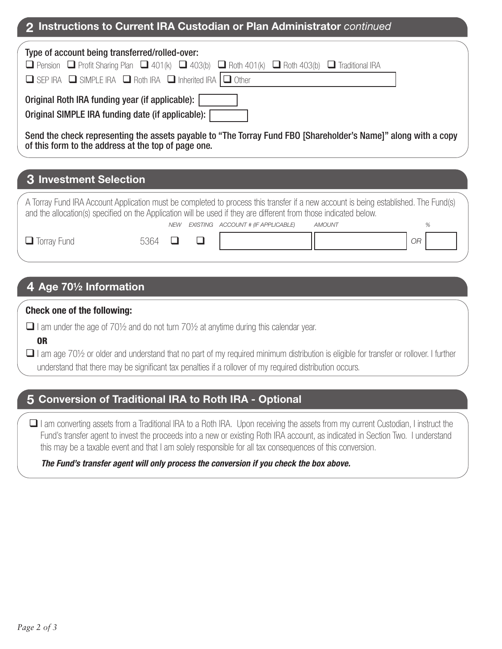### **2 Instructions to Current IRA Custodian or Plan Administrator** *continued*

| Type of account being transferred/rolled-over:<br><b>O</b> Pension <b>O</b> Profit Sharing Plan <b>O</b> 401(k) <b>O</b> 403(b) <b>O</b> Roth 401(k) <b>O</b> Roth 403(b) <b>O</b> Traditional IRA<br>$\Box$ SEP IRA $\Box$ SIMPLE IRA $\Box$ Roth IRA $\Box$ Inherited IRA $\Box$ Other |
|------------------------------------------------------------------------------------------------------------------------------------------------------------------------------------------------------------------------------------------------------------------------------------------|
| Original Roth IRA funding year (if applicable):<br>Original SIMPLE IRA funding date (if applicable):                                                                                                                                                                                     |
| Send the check representing the assets payable to "The Torray Fund FBO [Shareholder's Name]" along with a copy<br>of this form to the address at the top of page one.                                                                                                                    |
| <b>3 Investment Selection</b>                                                                                                                                                                                                                                                            |

*ACCOUNT # (IF APPLICABLE) AMOUNT % NEW EXISTING* A Torray Fund IRA Account Application must be completed to process this transfer if a new account is being established. The Fund(s) and the allocation(s) specified on the Application will be used if they are different from those indicated below.

*OR*

 $\Box$  Torray Fund

# 5364  $\Box$   $\Box$

# **4 Age 70½ Information**

#### **Check one of the following:**

- $\Box$  I am under the age of 701/2 and do not turn 701/2 at anytime during this calendar year.
	- OR
- $\Box$  I am age 70½ or older and understand that no part of my required minimum distribution is eligible for transfer or rollover. I further understand that there may be significant tax penalties if a rollover of my required distribution occurs.

## **5 Conversion of Traditional IRA to Roth IRA - Optional**

 I am converting assets from a Traditional IRA to a Roth IRA. Upon receiving the assets from my current Custodian, I instruct the Fund's transfer agent to invest the proceeds into a new or existing Roth IRA account, as indicated in Section Two. I understand this may be a taxable event and that I am solely responsible for all tax consequences of this conversion.

#### *The Fund's transfer agent will only process the conversion if you check the box above.*